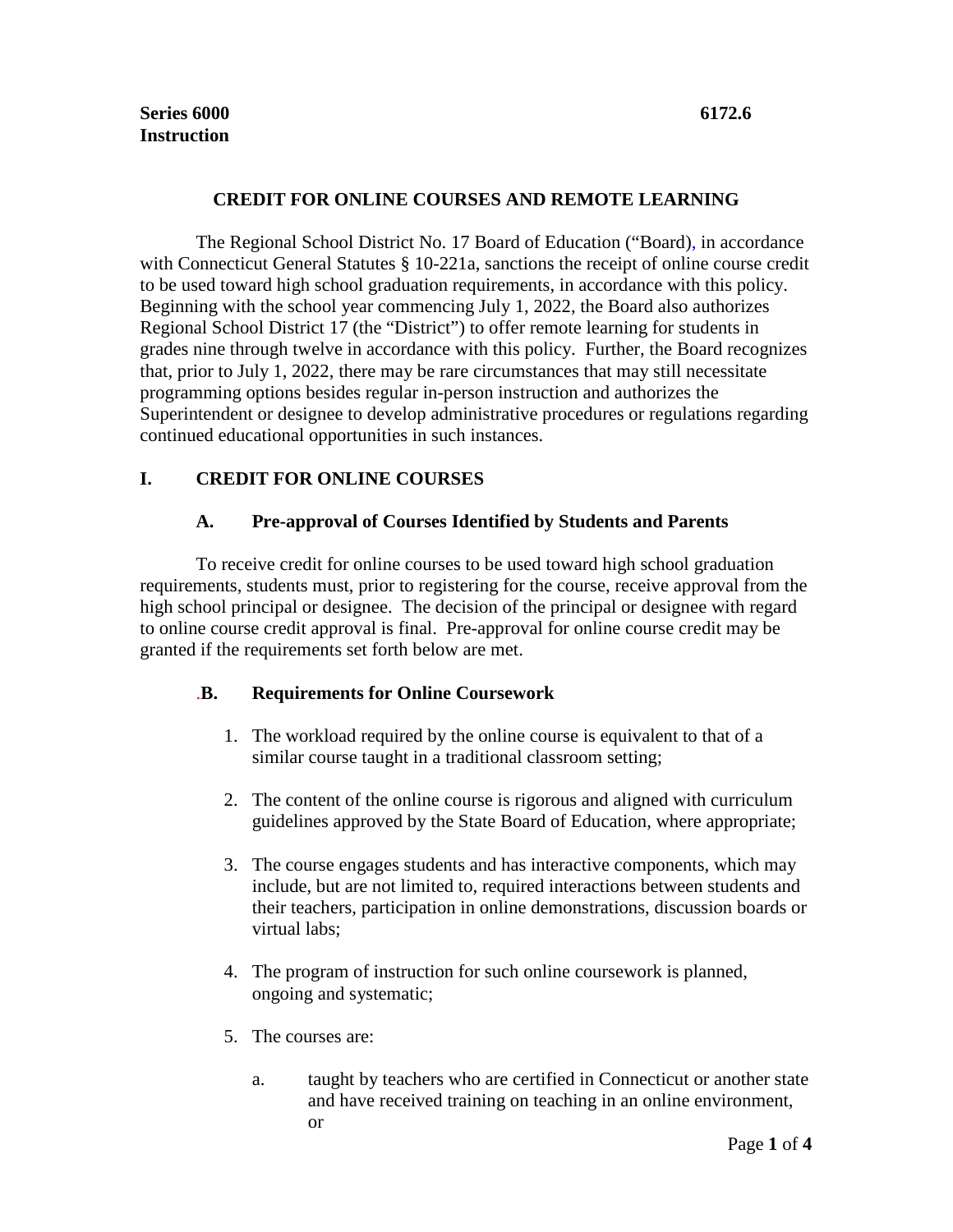### **CREDIT FOR ONLINE COURSES AND REMOTE LEARNING**

The Regional School District No. 17 Board of Education ("Board), in accordance with Connecticut General Statutes § 10-221a, sanctions the receipt of online course credit to be used toward high school graduation requirements, in accordance with this policy. Beginning with the school year commencing July 1, 2022, the Board also authorizes Regional School District 17 (the "District") to offer remote learning for students in grades nine through twelve in accordance with this policy. Further, the Board recognizes that, prior to July 1, 2022, there may be rare circumstances that may still necessitate programming options besides regular in-person instruction and authorizes the Superintendent or designee to develop administrative procedures or regulations regarding continued educational opportunities in such instances.

# **I. CREDIT FOR ONLINE COURSES**

# **A. Pre-approval of Courses Identified by Students and Parents**

To receive credit for online courses to be used toward high school graduation requirements, students must, prior to registering for the course, receive approval from the high school principal or designee. The decision of the principal or designee with regard to online course credit approval is final. Pre-approval for online course credit may be granted if the requirements set forth below are met.

# .**B. Requirements for Online Coursework**

- 1. The workload required by the online course is equivalent to that of a similar course taught in a traditional classroom setting;
- 2. The content of the online course is rigorous and aligned with curriculum guidelines approved by the State Board of Education, where appropriate;
- 3. The course engages students and has interactive components, which may include, but are not limited to, required interactions between students and their teachers, participation in online demonstrations, discussion boards or virtual labs;
- 4. The program of instruction for such online coursework is planned, ongoing and systematic;
- 5. The courses are:
	- a. taught by teachers who are certified in Connecticut or another state and have received training on teaching in an online environment, or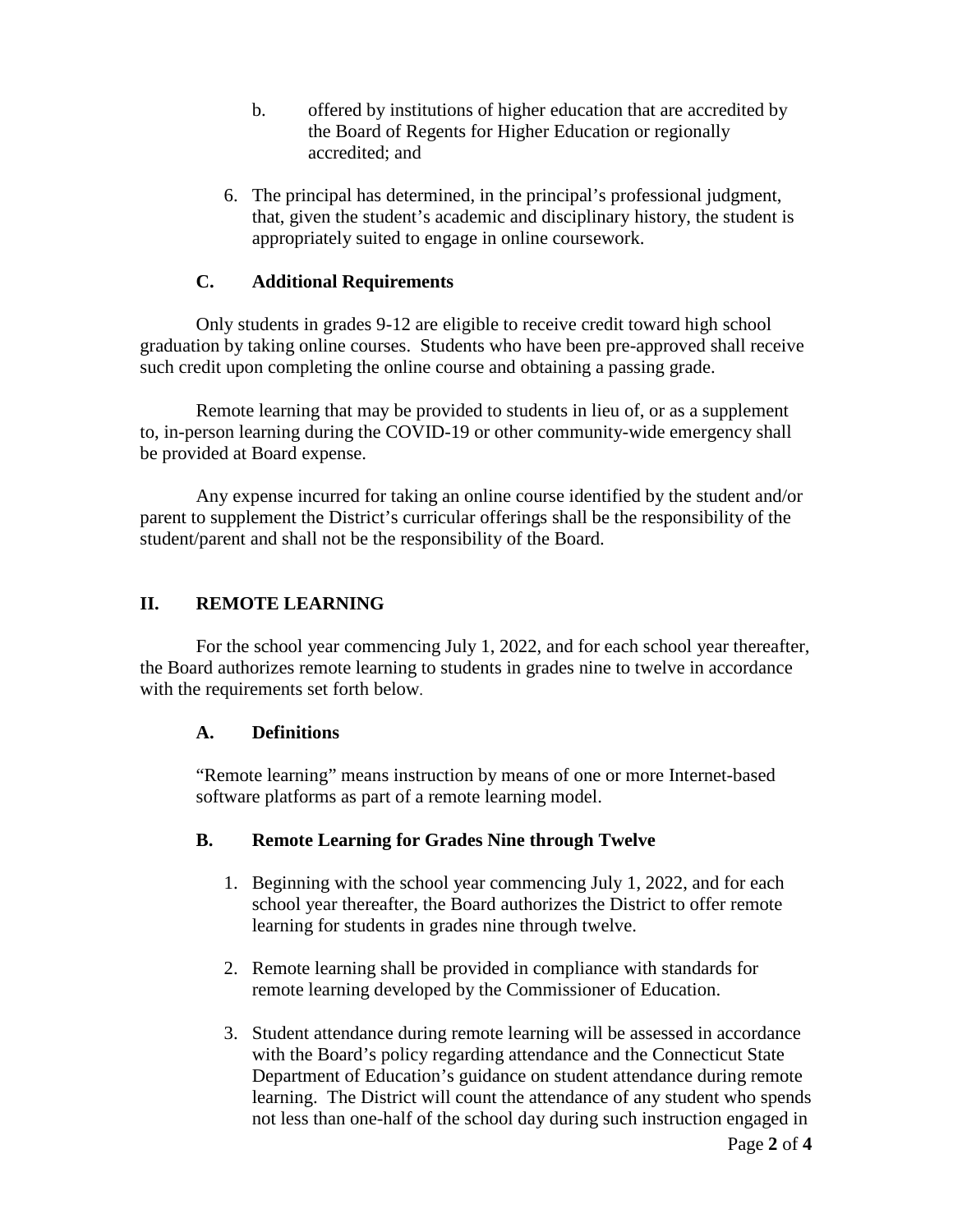- b. offered by institutions of higher education that are accredited by the Board of Regents for Higher Education or regionally accredited; and
- 6. The principal has determined, in the principal's professional judgment, that, given the student's academic and disciplinary history, the student is appropriately suited to engage in online coursework.

# **C. Additional Requirements**

Only students in grades 9-12 are eligible to receive credit toward high school graduation by taking online courses. Students who have been pre-approved shall receive such credit upon completing the online course and obtaining a passing grade.

Remote learning that may be provided to students in lieu of, or as a supplement to, in-person learning during the COVID-19 or other community-wide emergency shall be provided at Board expense.

Any expense incurred for taking an online course identified by the student and/or parent to supplement the District's curricular offerings shall be the responsibility of the student/parent and shall not be the responsibility of the Board.

# **II. REMOTE LEARNING**

For the school year commencing July 1, 2022, and for each school year thereafter, the Board authorizes remote learning to students in grades nine to twelve in accordance with the requirements set forth below.

# **A. Definitions**

"Remote learning" means instruction by means of one or more Internet-based software platforms as part of a remote learning model.

# **B. Remote Learning for Grades Nine through Twelve**

- 1. Beginning with the school year commencing July 1, 2022, and for each school year thereafter, the Board authorizes the District to offer remote learning for students in grades nine through twelve.
- 2. Remote learning shall be provided in compliance with standards for remote learning developed by the Commissioner of Education.
- 3. Student attendance during remote learning will be assessed in accordance with the Board's policy regarding attendance and the Connecticut State Department of Education's guidance on student attendance during remote learning. The District will count the attendance of any student who spends not less than one-half of the school day during such instruction engaged in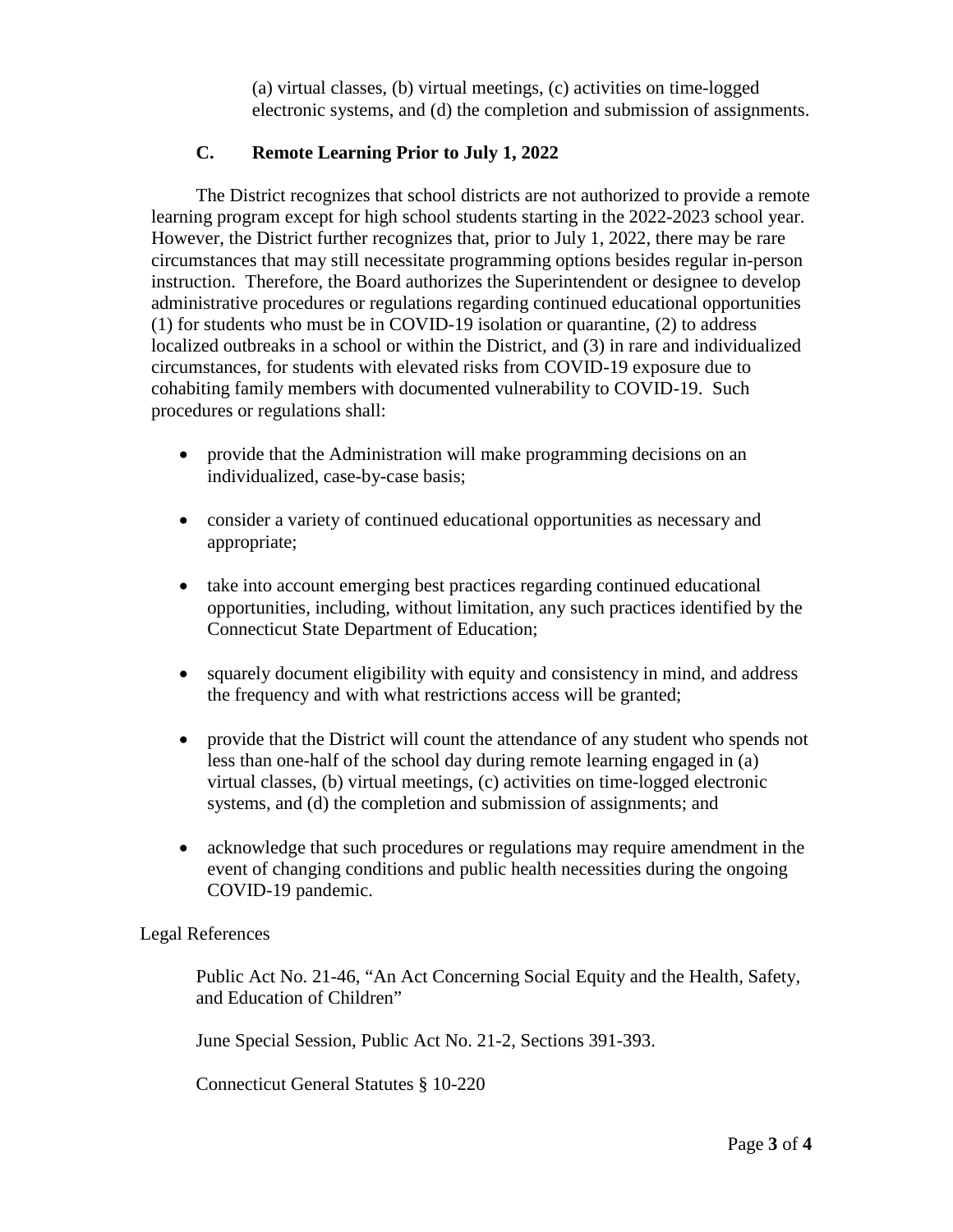(a) virtual classes, (b) virtual meetings, (c) activities on time-logged electronic systems, and (d) the completion and submission of assignments.

# **C. Remote Learning Prior to July 1, 2022**

The District recognizes that school districts are not authorized to provide a remote learning program except for high school students starting in the 2022-2023 school year. However, the District further recognizes that, prior to July 1, 2022, there may be rare circumstances that may still necessitate programming options besides regular in-person instruction. Therefore, the Board authorizes the Superintendent or designee to develop administrative procedures or regulations regarding continued educational opportunities (1) for students who must be in COVID-19 isolation or quarantine, (2) to address localized outbreaks in a school or within the District, and (3) in rare and individualized circumstances, for students with elevated risks from COVID-19 exposure due to cohabiting family members with documented vulnerability to COVID-19. Such procedures or regulations shall:

- provide that the Administration will make programming decisions on an individualized, case-by-case basis;
- consider a variety of continued educational opportunities as necessary and appropriate;
- take into account emerging best practices regarding continued educational opportunities, including, without limitation, any such practices identified by the Connecticut State Department of Education;
- squarely document eligibility with equity and consistency in mind, and address the frequency and with what restrictions access will be granted;
- provide that the District will count the attendance of any student who spends not less than one-half of the school day during remote learning engaged in (a) virtual classes, (b) virtual meetings, (c) activities on time-logged electronic systems, and (d) the completion and submission of assignments; and
- acknowledge that such procedures or regulations may require amendment in the event of changing conditions and public health necessities during the ongoing COVID-19 pandemic.

#### Legal References

Public Act No. 21-46, "An Act Concerning Social Equity and the Health, Safety, and Education of Children"

June Special Session, Public Act No. 21-2, Sections 391-393.

Connecticut General Statutes § 10-220